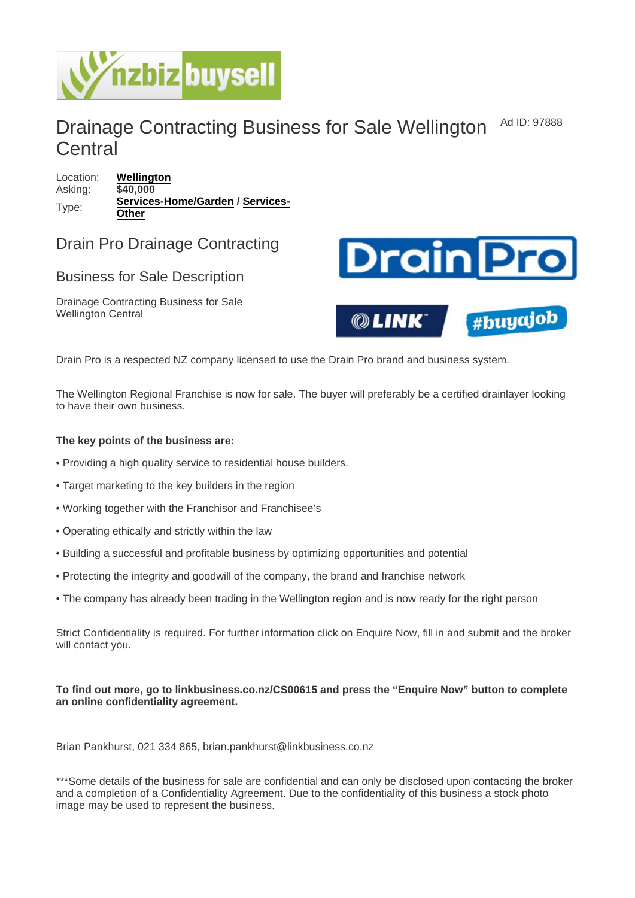## Drainage Contracting Business for Sale Wellington **Central** Ad ID: 97888

Location: [Wellington](https://www.nzbizbuysell.co.nz/businesses-for-sale/location/Wellington) Asking: \$40,000 Type: [Services-Home/Garden](https://www.nzbizbuysell.co.nz/businesses-for-sale/Services-Home--Garden/New-Zealand) / [Services-](https://www.nzbizbuysell.co.nz/businesses-for-sale/Services/New-Zealand)**[Other](https://www.nzbizbuysell.co.nz/businesses-for-sale/Services/New-Zealand)** 

## Drain Pro Drainage Contracting

## Business for Sale Description

Drainage Contracting Business for Sale Wellington Central

Drain Pro is a respected NZ company licensed to use the Drain Pro brand and business system.

The Wellington Regional Franchise is now for sale. The buyer will preferably be a certified drainlayer looking to have their own business.

The key points of the business are:

- Providing a high quality service to residential house builders.
- Target marketing to the key builders in the region
- Working together with the Franchisor and Franchisee's
- Operating ethically and strictly within the law
- Building a successful and profitable business by optimizing opportunities and potential
- Protecting the integrity and goodwill of the company, the brand and franchise network
- The company has already been trading in the Wellington region and is now ready for the right person

Strict Confidentiality is required. For further information click on Enquire Now, fill in and submit and the broker will contact you.

To find out more, go to linkbusiness.co.nz/CS00615 and press the "Enquire Now" button to complete an online confidentiality agreement.

Brian Pankhurst, 021 334 865, brian.pankhurst@linkbusiness.co.nz

\*\*\*Some details of the business for sale are confidential and can only be disclosed upon contacting the broker and a completion of a Confidentiality Agreement. Due to the confidentiality of this business a stock photo image may be used to represent the business.